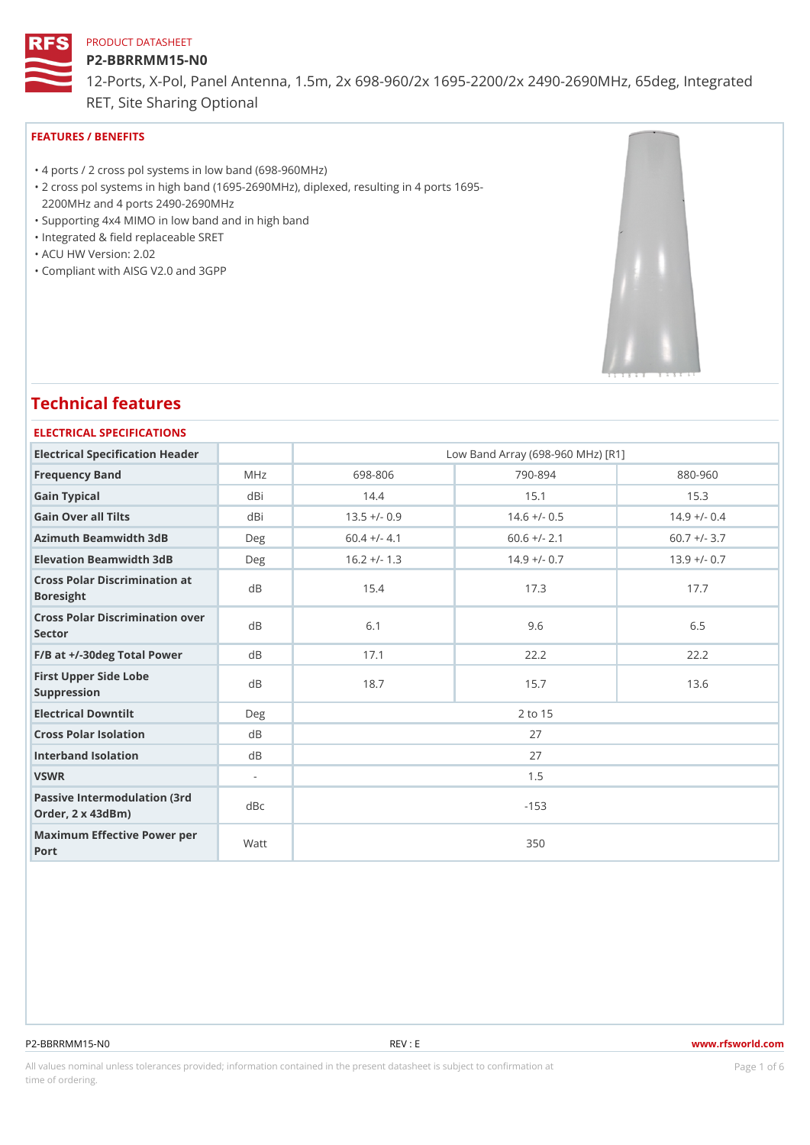#### P2-BBRRMM15-N0

12-Ports, X-Pol, Panel Antenna, 1.5m, 2x 698-960/2x 1695-2200/2x 249 RET, Site Sharing Optional

# FEATURES / BENEFITS

"4 ports / 2 cross pol systems in low band (698-960MHz)

- 2 cross pol systems in high band (1695-2690MHz), diplexed, resulting in 4 ports 1695- " 2200MHz and 4 ports 2490-2690MHz
- "Supporting 4x4 MIMO in low band and in high band
- "Integrated & field replaceable SRET
- "ACU HW Version: 2.02
- "Compliant with AISG V2.0 and 3GPP

# Technical features

#### ELECTRICAL SPECIFICATIONS

| Electrical Specification Header                       |           |                | Low Band Array (698-960 MHz) [R1] |                |  |
|-------------------------------------------------------|-----------|----------------|-----------------------------------|----------------|--|
| Frequency Band                                        | MHz       | 698-806        | $790 - 894$                       | $880 - 960$    |  |
| Gain Typical                                          | dBi       | 14.4           | 15.1                              | 15.3           |  |
| Gain Over all Tilts                                   | dBi       | $13.5 +/- 0.9$ | $14.6 +/- 0.5$                    | $14.9 +/- 0.4$ |  |
| Azimuth Beamwidth 3dB                                 | $D$ e q   | $60.4$ +/- 4.1 | $60.6$ +/- 2.1                    | $60.7$ +/- 3.7 |  |
| Elevation Beamwidth 3dB                               | Deg       | $16.2 +/- 1.3$ | $14.9 +/- 0.7$                    | $13.9 +/- 0.7$ |  |
| Cross Polar Discrimination at<br><b>Boresight</b>     |           | 15.4           | 17.3                              | 17.7           |  |
| Cross Polar Discrimination over<br>Sector             |           | 6.1            | 9.6                               | 6.5            |  |
| $F/B$ at $+/-30$ deg Total Powerd B                   |           | 17.1           | 22.2                              | 22.2           |  |
| First Upper Side Lobe<br>Suppression                  | $d$ B     | 18.7           | 15.7                              | 13.6           |  |
| Electrical Downtilt                                   | $D \in q$ |                | 2 to 15                           |                |  |
| Cross Polar Isolation                                 | $d$ B     |                | 27                                |                |  |
| Interband Isolation                                   | d B       | 27             |                                   |                |  |
| VSWR                                                  | $\sim$    | 1.5            |                                   |                |  |
| Passive Intermodulation (3rd dBc<br>Order, 2 x 43dBm) |           |                | $-153$                            |                |  |
| Maximum Effective Power per<br>Port                   |           |                | 350                               |                |  |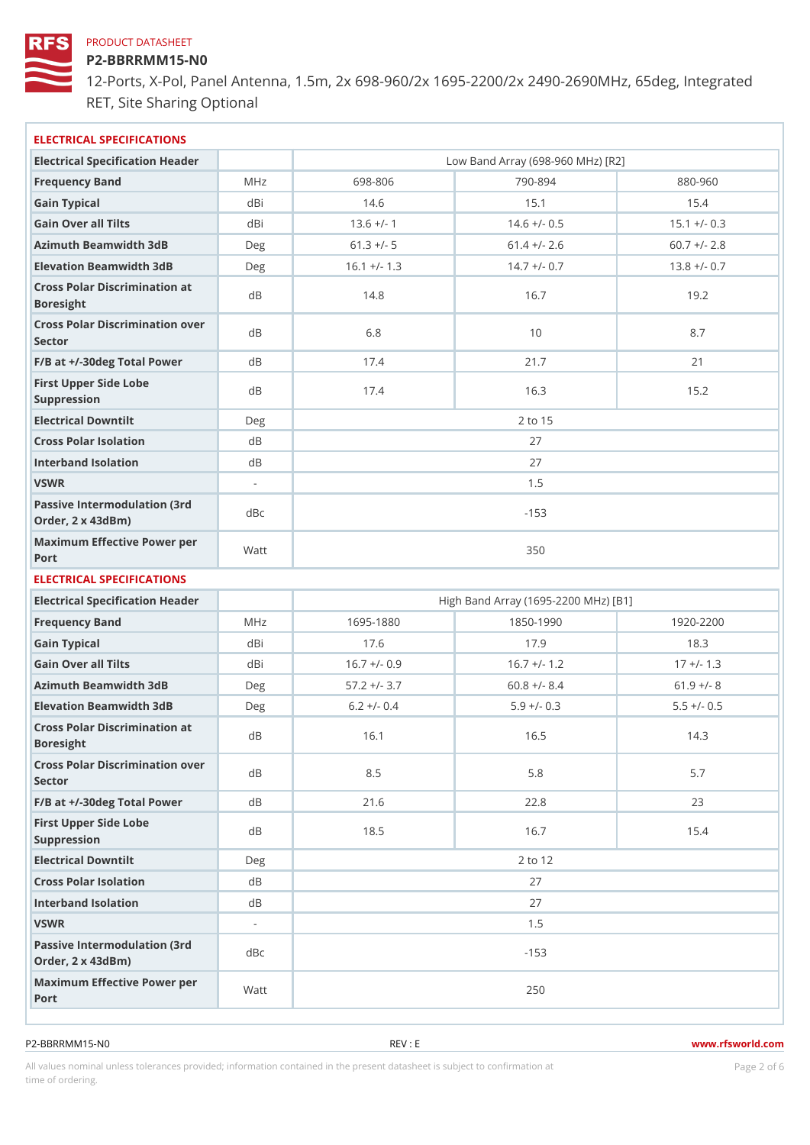P2-BBRRMM15-N0

12-Ports, X-Pol, Panel Antenna, 1.5m, 2x 698-960/2x 1695-2200/2x 249 RET, Site Sharing Optional

| ELECTRICAL SPECIFICATIONS                             |                             |                |                                      |                |
|-------------------------------------------------------|-----------------------------|----------------|--------------------------------------|----------------|
| Electrical Specification Header                       |                             |                | Low Band Array (698-960 MHz) [R2]    |                |
| Frequency Band                                        | M H z                       | 698-806        | $790 - 894$                          | 880-960        |
| Gain Typical                                          | dBi                         | 14.6           | 15.1                                 | 15.4           |
| Gain Over all Tilts                                   | dBi                         | $13.6$ +/- 1   | $14.6 +/- 0.5$                       | $15.1 +/- 0.3$ |
| Azimuth Beamwidth 3dB                                 | Deg                         | $61.3 +/- 5$   | $61.4$ +/- 2.6                       | $60.7$ +/- 2.8 |
| Elevation Beamwidth 3dB                               | Deg                         | $16.1 +/- 1.3$ | $14.7 +/- 0.7$                       | $13.8 +/- 0.7$ |
| Cross Polar Discrimination at<br>Boresight            |                             | 14.8           | 16.7                                 | 19.2           |
| Cross Polar Discrimination over<br>Sector             |                             | 6.8            | 10                                   | 8.7            |
| $F/B$ at $+/-30$ deg Total Powerd B                   |                             | 17.4           | 21.7                                 | 21             |
| First Upper Side Lobe<br>Suppression                  | d B                         | 17.4           | 16.3                                 | 15.2           |
| Electrical Downtilt                                   | Deg                         |                | 2 to 15                              |                |
| Cross Polar Isolation                                 | d B                         |                | 27                                   |                |
| Interband Isolation                                   | d B                         |                | 27                                   |                |
| VSWR                                                  | $\mathcal{L}_{\mathcal{A}}$ |                | 1.5                                  |                |
| Passive Intermodulation (3rd dBc<br>Order, 2 x 43dBm) |                             |                | $-153$                               |                |
| Maximum Effective Power per<br>Port                   |                             |                | 350                                  |                |
| ELECTRICAL SPECIFICATIONS                             |                             |                |                                      |                |
| Electrical Specification Header                       |                             |                | High Band Array (1695-2200 MHz) [B1] |                |
| Frequency Band                                        | M H z                       | 1695-1880      | 1850-1990                            | $1920 - 2200$  |
| Gain Typical                                          | dBi                         | 17.6           | 17.9                                 | 18.3           |
| Gain Over all Tilts                                   | dBi                         | $16.7$ +/- 0.9 | $16.7$ +/- 1.2                       | $17 + (-1.3$   |
| Azimuth Beamwidth 3dB                                 | Deg                         | $57.2$ +/- 3.7 | $60.8$ +/- 8.4                       | $61.9$ +/- 8   |
| Elevation Beamwidth 3dB                               | Deg                         | $6.2 +/- 0.4$  | $5.9 +/- 0.3$                        | $5.5 +/- 0.5$  |
| Cross Polar Discrimination at<br>Boresight            |                             | 16.1           | 16.5                                 | 14.3           |
| Cross Polar Discrimination over<br>Sector             |                             | $8.5\,$        | $5.8$                                | 5.7            |
| $F/B$ at $+/-30$ deg Total Powerd B                   |                             | 21.6           | 22.8                                 | 23             |
| First Upper Side Lobe<br>Suppression                  | d B                         | 18.5           | 16.7                                 | 15.4           |
| Electrical Downtilt                                   | Deg                         |                | 2 to 12                              |                |
| Cross Polar Isolation                                 | d B                         |                | 27                                   |                |
| Interband Isolation                                   | d B                         |                | 27                                   |                |
| VSWR                                                  | $\overline{\phantom{a}}$    |                | 1.5                                  |                |
| Passive Intermodulation (3rd dBc<br>Order, 2 x 43dBm) |                             |                | $-153$                               |                |
| Maximum Effective Power per<br>Port                   |                             |                | 250                                  |                |

All values nominal unless tolerances provided; information contained in the present datasheet is subject to Pcaognéio 21 m atio time of ordering.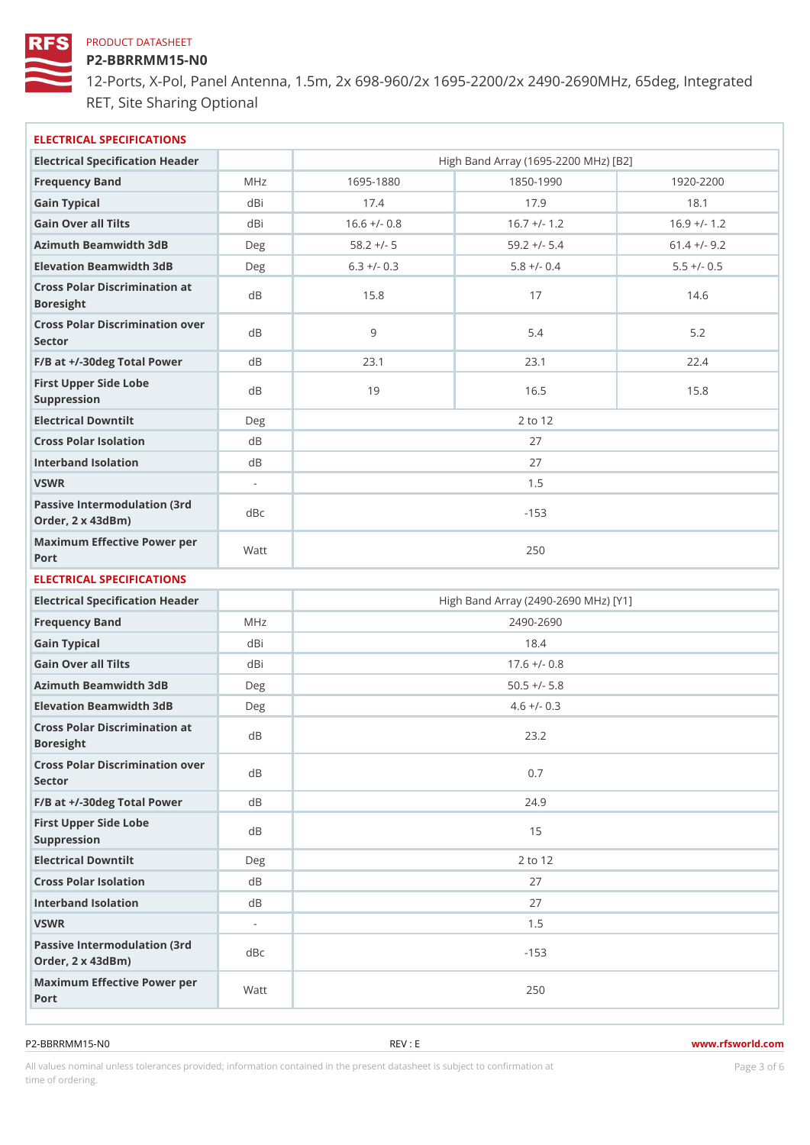P2-BBRRMM15-N0

12-Ports, X-Pol, Panel Antenna, 1.5m, 2x 698-960/2x 1695-2200/2x 249 RET, Site Sharing Optional

| ELECTRICAL SPECIFICATIONS                             |                          |                |                                      |                |
|-------------------------------------------------------|--------------------------|----------------|--------------------------------------|----------------|
| Electrical Specification Header                       |                          |                | High Band Array (1695-2200 MHz) [B2] |                |
| Frequency Band                                        | M H z                    | 1695-1880      | 1850-1990                            | $1920 - 2200$  |
| Gain Typical                                          | dBi                      | 17.4           | 17.9                                 | 18.1           |
| Gain Over all Tilts                                   | dBi                      | $16.6$ +/- 0.8 | $16.7$ +/- 1.2                       | $16.9$ +/- 1.2 |
| Azimuth Beamwidth 3dB                                 | Deg                      | $58.2 +/- 5$   | $59.2 +/- 5.4$                       | $61.4$ +/- 9.2 |
| Elevation Beamwidth 3dB                               | Deg                      | $6.3$ +/- 0.3  | $5.8 +/- 0.4$                        | $5.5 +/- 0.5$  |
| Cross Polar Discrimination at<br>Boresight            |                          | 15.8           | 17                                   | 14.6           |
| Cross Polar Discrimination over<br>Sector             |                          | 9              | $5.4$                                | 5.2            |
| $F/B$ at $+/-30$ deg Total PowerdB                    |                          | 23.1           | 23.1                                 | 22.4           |
| First Upper Side Lobe<br>Suppression                  | d B                      | 19             | 16.5                                 | 15.8           |
| Electrical Downtilt                                   | Deg                      |                | 2 to 12                              |                |
| Cross Polar Isolation                                 | d B                      |                | 27                                   |                |
| Interband Isolation                                   | d B                      |                | 27                                   |                |
| VSWR                                                  | $\omega$                 |                | 1.5                                  |                |
| Passive Intermodulation (3rd dBc<br>Order, 2 x 43dBm) |                          |                | $-153$                               |                |
| Maximum Effective Power per<br>Port                   |                          |                | 250                                  |                |
| ELECTRICAL SPECIFICATIONS                             |                          |                |                                      |                |
| Electrical Specification Header                       |                          |                | High Band Array (2490-2690 MHz) [Y1] |                |
| Frequency Band                                        | M H z                    |                | 2490-2690                            |                |
| Gain Typical                                          | dBi                      |                | 18.4                                 |                |
| Gain Over all Tilts                                   | dBi                      |                | $17.6$ +/- 0.8                       |                |
| Azimuth Beamwidth 3dB                                 | Deg                      |                | $50.5$ +/- $5.8$                     |                |
| Elevation Beamwidth 3dB                               | Deg                      |                | $4.6 +/- 0.3$                        |                |
| Cross Polar Discrimination at<br>Boresight            |                          |                | 23.2                                 |                |
| Cross Polar Discrimination over<br>Sector             |                          |                | 0.7                                  |                |
| $F/B$ at $+/-30$ deg Total Powerd B                   |                          |                | 24.9                                 |                |
| First Upper Side Lobe<br>Suppression                  | d B                      |                | 15                                   |                |
| Electrical Downtilt                                   | Deg                      |                | 2 to 12                              |                |
| Cross Polar Isolation                                 | d B                      |                | 27                                   |                |
| Interband Isolation                                   | d B                      |                | 27                                   |                |
| VSWR                                                  | $\overline{\phantom{a}}$ |                | 1.5                                  |                |
| Passive Intermodulation (3rd dBc<br>Order, 2 x 43dBm) |                          |                | $-153$                               |                |
| Maximum Effective Power per<br>Port                   |                          |                | 250                                  |                |

All values nominal unless tolerances provided; information contained in the present datasheet is subject to Pcaognéioßh Stio time of ordering.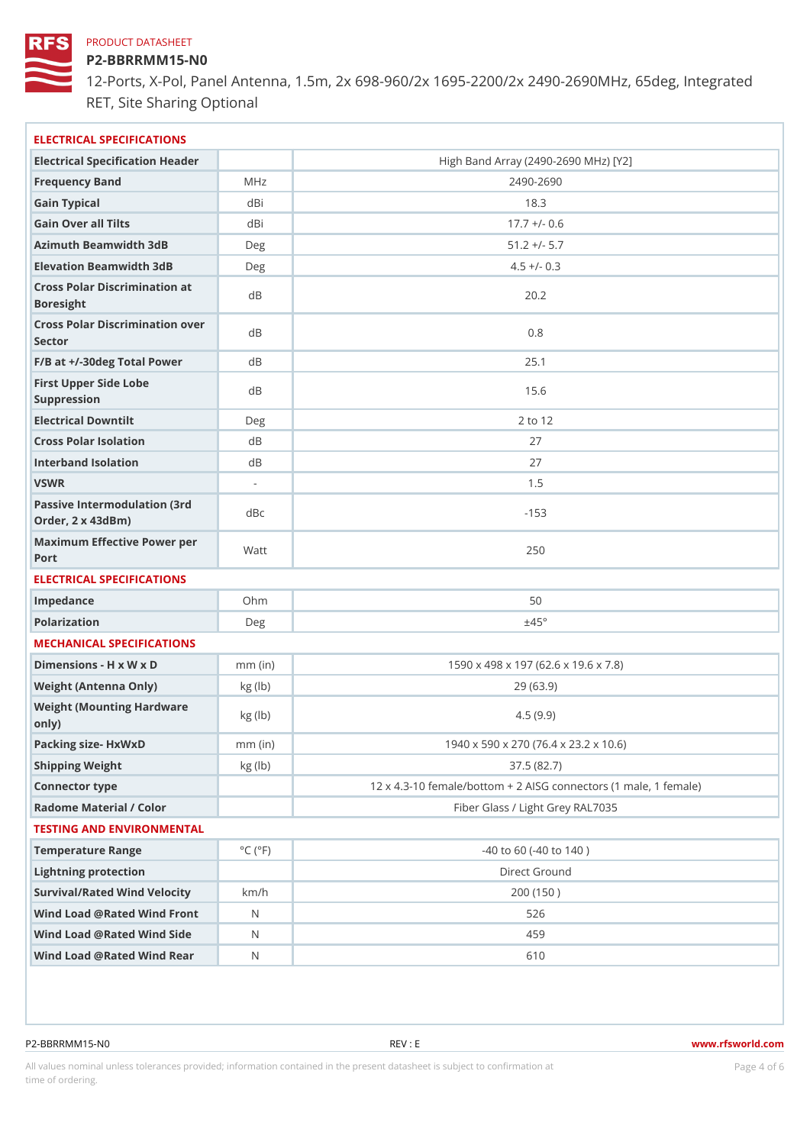P2-BBRRMM15-N0

12-Ports, X-Pol, Panel Antenna, 1.5m, 2x 698-960/2x 1695-2200/2x 249 RET, Site Sharing Optional

| ELECTRICAL SPECIFICATIONS                             |                             |                                                        |
|-------------------------------------------------------|-----------------------------|--------------------------------------------------------|
| Electrical Specification Header                       |                             | High Band Array (2490-2690 MHz) [Y2]                   |
| Frequency Band                                        | M H z                       | $2490 - 2690$                                          |
| Gain Typical                                          | dBi                         | 18.3                                                   |
| Gain Over all Tilts                                   | dBi                         | $17.7 +/- 0.6$                                         |
| Azimuth Beamwidth 3dB                                 | Deg                         | $51.2$ +/- $5.7$                                       |
| Elevation Beamwidth 3dB                               | Deg                         | $4.5 +/- 0.3$                                          |
| Cross Polar Discrimination at<br>Boresight            |                             | 20.2                                                   |
| Cross Polar Discrimination over<br>Sector             |                             | 0.8                                                    |
| $F/B$ at $+/-30$ deg Total PowerdB                    |                             | 25.1                                                   |
| First Upper Side Lobe<br>Suppression                  | d B                         | 15.6                                                   |
| Electrical Downtilt                                   | Deg                         | 2 to 12                                                |
| Cross Polar Isolation                                 | d B                         | 27                                                     |
| Interband Isolation                                   | d B                         | 27                                                     |
| VSWR                                                  | $\sim$                      | 1.5                                                    |
| Passive Intermodulation (3rd dBc<br>Order, 2 x 43dBm) |                             | $-153$                                                 |
| Maximum Effective Power per<br>Port                   |                             | 250                                                    |
| ELECTRICAL SPECIFICATIONS                             |                             |                                                        |
| Impedance                                             | Ohm                         | 50                                                     |
| Polarization                                          | Deg                         | ±45°                                                   |
| MECHANICAL SPECIFICATIONS                             |                             |                                                        |
| Dimensions - H x W x D                                | $mm$ (in)                   | 1590 x 498 x 197 (62.6 x 19.6 x 7.8)                   |
| Weight (Antenna Only)                                 | kg (lb)                     | 29 (63.9)                                              |
| Weight (Mounting Hardware kg (lb)<br>0nly)            |                             | 4.5(9.9)                                               |
| Packing size- HxWxD                                   | $mm$ (in)                   | 1940 x 590 x 270 (76.4 x 23.2 x 10.6)                  |
| Shipping Weight                                       | kg (lb)                     | 37.5(82.7)                                             |
| Connector type                                        |                             | 12 x 4.3-10 female/bottom + 2 AISG connectors (1 male, |
| Radome Material / Color                               |                             | Fiber Glass / Light Grey RAL7035                       |
| TESTING AND ENVIRONMENTAL                             |                             |                                                        |
| Temperature Range                                     | $^{\circ}$ C ( $^{\circ}$ F | $-40$ to 60 ( $-40$ to 140)                            |
| Lightning protection                                  |                             | Direct Ground                                          |
| Survival/Rated Wind Velocikm/h                        |                             | 200 (150)                                              |
| Wind Load @ Rated Wind Front                          |                             | 526                                                    |
| Wind Load @ Rated Wind Sidb                           |                             | 459                                                    |
| Wind Load @ Rated Wind ReaN                           |                             | 610                                                    |

P2-BBRRMM15-N0 REV : E www.rfsworld.com

All values nominal unless tolerances provided; information contained in the present datasheet is subject to Pcaogneior4fn Sotio time of ordering.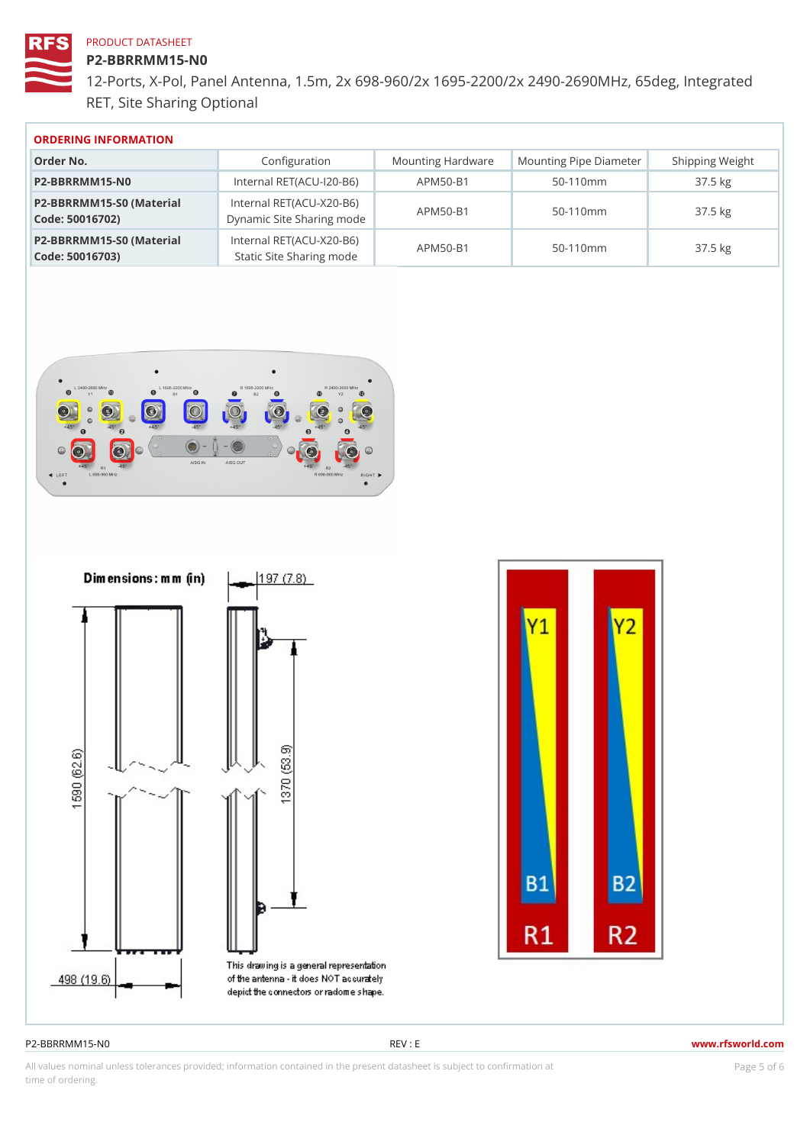#### P2-BBRRMM15-N0

12-Ports, X-Pol, Panel Antenna, 1.5m, 2x 698-960/2x 1695-2200/2x 249 RET, Site Sharing Optional

| ORDERING INFORMATION |
|----------------------|
|                      |

| Order No.                                                                                    | Configuration                  |                | Mounting HardwaMeunting Pipe D am Scheipping Weight |
|----------------------------------------------------------------------------------------------|--------------------------------|----------------|-----------------------------------------------------|
| P2-BBRRMM15-NO                                                                               | Internal RET(ACU 120-BAPM50-B1 | $50 - 110$ m m | 37.5 kg                                             |
| P2-BBRRMM15-S0 (Materibalternal RET(ACU-X20-B6)<br>Code: 50016702) Dynamic Site Sharing mode |                                | $50 - 110$ m m | $37.5$ kg                                           |
| P2-BBRRMM15-S0 (Materibalternal RET(ACU-X20-B6)<br>Code: 50016703) Static Site Sharing mode  |                                | $50 - 110$ m m | $37.5$ kg                                           |